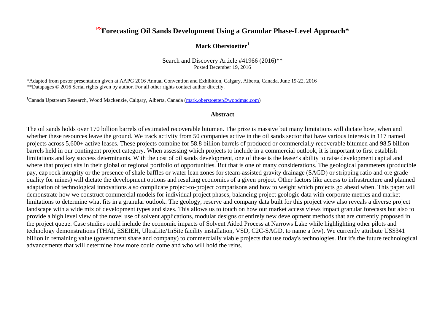## **PSForecasting Oil Sands Development Using a Granular Phase-Level Approach\***

### **Mark Oberstoetter<sup>1</sup>**

Search and Discovery Article #41966 (2016)\*\* Posted December 19, 2016

\*Adapted from poster presentation given at AAPG 2016 Annual Convention and Exhibition, Calgary, Alberta, Canada, June 19-22, 2016 \*\*Datapages © 2016 Serial rights given by author. For all other rights contact author directly.

<sup>1</sup>Canada Upstream Research, Wood Mackenzie, Calgary, Alberta, Canada [\(mark.oberstoetter@woodmac.com\)](mailto:mark.oberstoetter@woodmac.com)

#### **Abstract**

The oil sands holds over 170 billion barrels of estimated recoverable bitumen. The prize is massive but many limitations will dictate how, when and whether these resources leave the ground. We track activity from 50 companies active in the oil sands sector that have various interests in 117 named projects across 5,600+ active leases. These projects combine for 58.8 billion barrels of produced or commercially recoverable bitumen and 98.5 billion barrels held in our contingent project category. When assessing which projects to include in a commercial outlook, it is important to first establish limitations and key success determinants. With the cost of oil sands development, one of these is the leaser's ability to raise development capital and where that project sits in their global or regional portfolio of opportunities. But that is one of many considerations. The geological parameters (producible pay, cap rock integrity or the presence of shale baffles or water lean zones for steam-assisted gravity drainage (SAGD) or stripping ratio and ore grade quality for mines) will dictate the development options and resulting economics of a given project. Other factors like access to infrastructure and planned adaptation of technological innovations also complicate project-to-project comparisons and how to weight which projects go ahead when. This paper will demonstrate how we construct commercial models for individual project phases, balancing project geologic data with corporate metrics and market limitations to determine what fits in a granular outlook. The geology, reserve and company data built for this project view also reveals a diverse project landscape with a wide mix of development types and sizes. This allows us to touch on how our market access views impact granular forecasts but also to provide a high level view of the novel use of solvent applications, modular designs or entirely new development methods that are currently proposed in the project queue. Case studies could include the economic impacts of Solvent Aided Process at Narrows Lake while highlighting other pilots and technology demonstrations (THAI, ESEIEH, UltraLite/1nSite facility installation, VSD, C2C-SAGD, to name a few). We currently attribute US\$341 billion in remaining value (government share and company) to commercially viable projects that use today's technologies. But it's the future technological advancements that will determine how more could come and who will hold the reins.